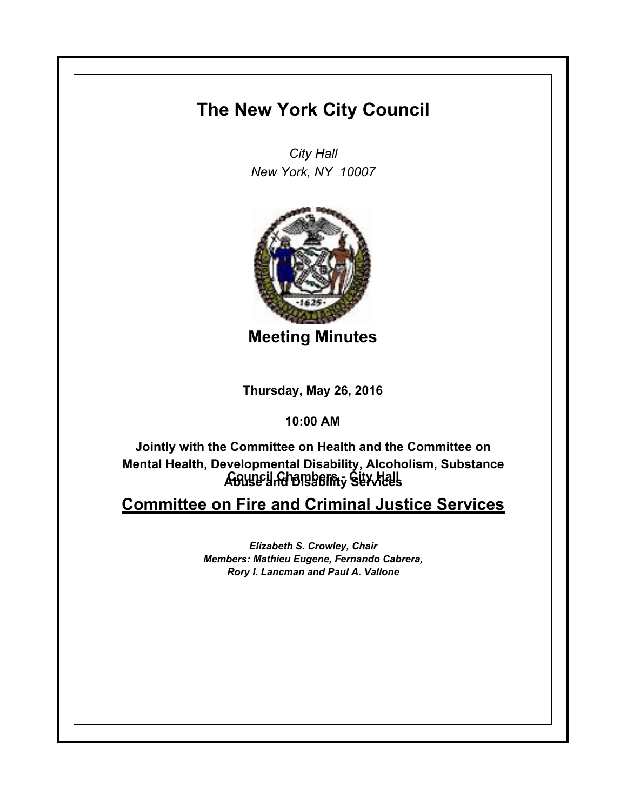## **The New York City Council**

*City Hall New York, NY 10007*



**Meeting Minutes**

**Thursday, May 26, 2016**

**10:00 AM**

**Council Chambers - City Hall Abuse and Disability ServicesJointly with the Committee on Health and the Committee on Mental Health, Developmental Disability, Alcoholism, Substance** 

**Committee on Fire and Criminal Justice Services**

*Elizabeth S. Crowley, Chair Members: Mathieu Eugene, Fernando Cabrera, Rory I. Lancman and Paul A. Vallone*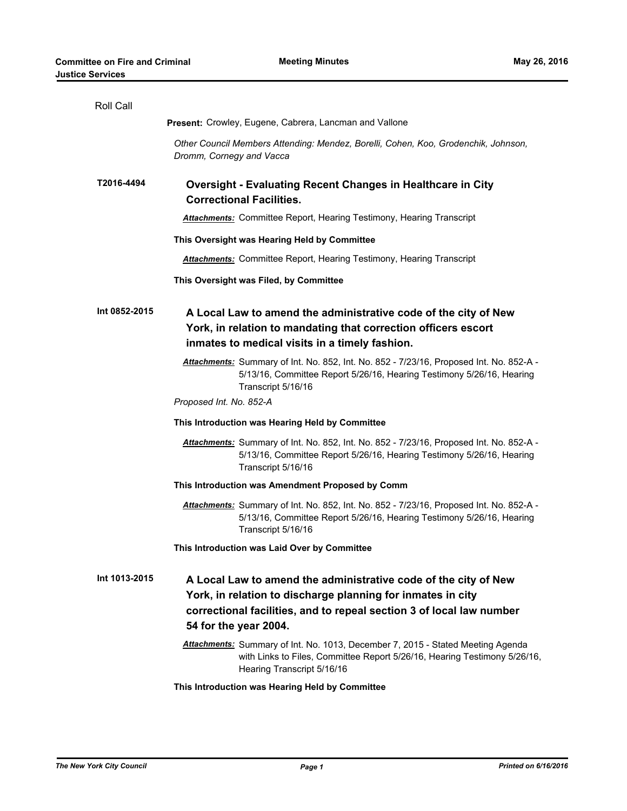| <b>Present:</b> Crowley, Eugene, Cabrera, Lancman and Vallone<br>Other Council Members Attending: Mendez, Borelli, Cohen, Koo, Grodenchik, Johnson,<br>Dromm, Cornegy and Vacca<br>T2016-4494<br><b>Oversight - Evaluating Recent Changes in Healthcare in City</b><br><b>Correctional Facilities.</b><br><b>Attachments:</b> Committee Report, Hearing Testimony, Hearing Transcript<br>This Oversight was Hearing Held by Committee<br><b>Attachments:</b> Committee Report, Hearing Testimony, Hearing Transcript<br>This Oversight was Filed, by Committee<br>Int 0852-2015<br>A Local Law to amend the administrative code of the city of New<br>York, in relation to mandating that correction officers escort<br>inmates to medical visits in a timely fashion.<br>Attachments: Summary of Int. No. 852, Int. No. 852 - 7/23/16, Proposed Int. No. 852-A -<br>5/13/16, Committee Report 5/26/16, Hearing Testimony 5/26/16, Hearing<br>Transcript 5/16/16<br>Proposed Int. No. 852-A<br>This Introduction was Hearing Held by Committee<br>Attachments: Summary of Int. No. 852, Int. No. 852 - 7/23/16, Proposed Int. No. 852-A -<br>5/13/16, Committee Report 5/26/16, Hearing Testimony 5/26/16, Hearing<br>Transcript 5/16/16<br>This Introduction was Amendment Proposed by Comm<br>Attachments: Summary of Int. No. 852, Int. No. 852 - 7/23/16, Proposed Int. No. 852-A -<br>5/13/16, Committee Report 5/26/16, Hearing Testimony 5/26/16, Hearing<br>Transcript 5/16/16<br>This Introduction was Laid Over by Committee<br>Int 1013-2015<br>A Local Law to amend the administrative code of the city of New<br>York, in relation to discharge planning for inmates in city<br>correctional facilities, and to repeal section 3 of local law number<br>54 for the year 2004.<br>Attachments: Summary of Int. No. 1013, December 7, 2015 - Stated Meeting Agenda<br>with Links to Files, Committee Report 5/26/16, Hearing Testimony 5/26/16, | Roll Call |                            |
|------------------------------------------------------------------------------------------------------------------------------------------------------------------------------------------------------------------------------------------------------------------------------------------------------------------------------------------------------------------------------------------------------------------------------------------------------------------------------------------------------------------------------------------------------------------------------------------------------------------------------------------------------------------------------------------------------------------------------------------------------------------------------------------------------------------------------------------------------------------------------------------------------------------------------------------------------------------------------------------------------------------------------------------------------------------------------------------------------------------------------------------------------------------------------------------------------------------------------------------------------------------------------------------------------------------------------------------------------------------------------------------------------------------------------------------------------------------------------------------------------------------------------------------------------------------------------------------------------------------------------------------------------------------------------------------------------------------------------------------------------------------------------------------------------------------------------------------------------------------------------------------------------------------------------------------------------------|-----------|----------------------------|
|                                                                                                                                                                                                                                                                                                                                                                                                                                                                                                                                                                                                                                                                                                                                                                                                                                                                                                                                                                                                                                                                                                                                                                                                                                                                                                                                                                                                                                                                                                                                                                                                                                                                                                                                                                                                                                                                                                                                                            |           |                            |
|                                                                                                                                                                                                                                                                                                                                                                                                                                                                                                                                                                                                                                                                                                                                                                                                                                                                                                                                                                                                                                                                                                                                                                                                                                                                                                                                                                                                                                                                                                                                                                                                                                                                                                                                                                                                                                                                                                                                                            |           |                            |
|                                                                                                                                                                                                                                                                                                                                                                                                                                                                                                                                                                                                                                                                                                                                                                                                                                                                                                                                                                                                                                                                                                                                                                                                                                                                                                                                                                                                                                                                                                                                                                                                                                                                                                                                                                                                                                                                                                                                                            |           |                            |
|                                                                                                                                                                                                                                                                                                                                                                                                                                                                                                                                                                                                                                                                                                                                                                                                                                                                                                                                                                                                                                                                                                                                                                                                                                                                                                                                                                                                                                                                                                                                                                                                                                                                                                                                                                                                                                                                                                                                                            |           |                            |
|                                                                                                                                                                                                                                                                                                                                                                                                                                                                                                                                                                                                                                                                                                                                                                                                                                                                                                                                                                                                                                                                                                                                                                                                                                                                                                                                                                                                                                                                                                                                                                                                                                                                                                                                                                                                                                                                                                                                                            |           |                            |
|                                                                                                                                                                                                                                                                                                                                                                                                                                                                                                                                                                                                                                                                                                                                                                                                                                                                                                                                                                                                                                                                                                                                                                                                                                                                                                                                                                                                                                                                                                                                                                                                                                                                                                                                                                                                                                                                                                                                                            |           |                            |
|                                                                                                                                                                                                                                                                                                                                                                                                                                                                                                                                                                                                                                                                                                                                                                                                                                                                                                                                                                                                                                                                                                                                                                                                                                                                                                                                                                                                                                                                                                                                                                                                                                                                                                                                                                                                                                                                                                                                                            |           |                            |
|                                                                                                                                                                                                                                                                                                                                                                                                                                                                                                                                                                                                                                                                                                                                                                                                                                                                                                                                                                                                                                                                                                                                                                                                                                                                                                                                                                                                                                                                                                                                                                                                                                                                                                                                                                                                                                                                                                                                                            |           |                            |
|                                                                                                                                                                                                                                                                                                                                                                                                                                                                                                                                                                                                                                                                                                                                                                                                                                                                                                                                                                                                                                                                                                                                                                                                                                                                                                                                                                                                                                                                                                                                                                                                                                                                                                                                                                                                                                                                                                                                                            |           |                            |
|                                                                                                                                                                                                                                                                                                                                                                                                                                                                                                                                                                                                                                                                                                                                                                                                                                                                                                                                                                                                                                                                                                                                                                                                                                                                                                                                                                                                                                                                                                                                                                                                                                                                                                                                                                                                                                                                                                                                                            |           |                            |
|                                                                                                                                                                                                                                                                                                                                                                                                                                                                                                                                                                                                                                                                                                                                                                                                                                                                                                                                                                                                                                                                                                                                                                                                                                                                                                                                                                                                                                                                                                                                                                                                                                                                                                                                                                                                                                                                                                                                                            |           |                            |
|                                                                                                                                                                                                                                                                                                                                                                                                                                                                                                                                                                                                                                                                                                                                                                                                                                                                                                                                                                                                                                                                                                                                                                                                                                                                                                                                                                                                                                                                                                                                                                                                                                                                                                                                                                                                                                                                                                                                                            |           |                            |
|                                                                                                                                                                                                                                                                                                                                                                                                                                                                                                                                                                                                                                                                                                                                                                                                                                                                                                                                                                                                                                                                                                                                                                                                                                                                                                                                                                                                                                                                                                                                                                                                                                                                                                                                                                                                                                                                                                                                                            |           |                            |
|                                                                                                                                                                                                                                                                                                                                                                                                                                                                                                                                                                                                                                                                                                                                                                                                                                                                                                                                                                                                                                                                                                                                                                                                                                                                                                                                                                                                                                                                                                                                                                                                                                                                                                                                                                                                                                                                                                                                                            |           |                            |
|                                                                                                                                                                                                                                                                                                                                                                                                                                                                                                                                                                                                                                                                                                                                                                                                                                                                                                                                                                                                                                                                                                                                                                                                                                                                                                                                                                                                                                                                                                                                                                                                                                                                                                                                                                                                                                                                                                                                                            |           |                            |
|                                                                                                                                                                                                                                                                                                                                                                                                                                                                                                                                                                                                                                                                                                                                                                                                                                                                                                                                                                                                                                                                                                                                                                                                                                                                                                                                                                                                                                                                                                                                                                                                                                                                                                                                                                                                                                                                                                                                                            |           |                            |
|                                                                                                                                                                                                                                                                                                                                                                                                                                                                                                                                                                                                                                                                                                                                                                                                                                                                                                                                                                                                                                                                                                                                                                                                                                                                                                                                                                                                                                                                                                                                                                                                                                                                                                                                                                                                                                                                                                                                                            |           | Hearing Transcript 5/16/16 |

**This Introduction was Hearing Held by Committee**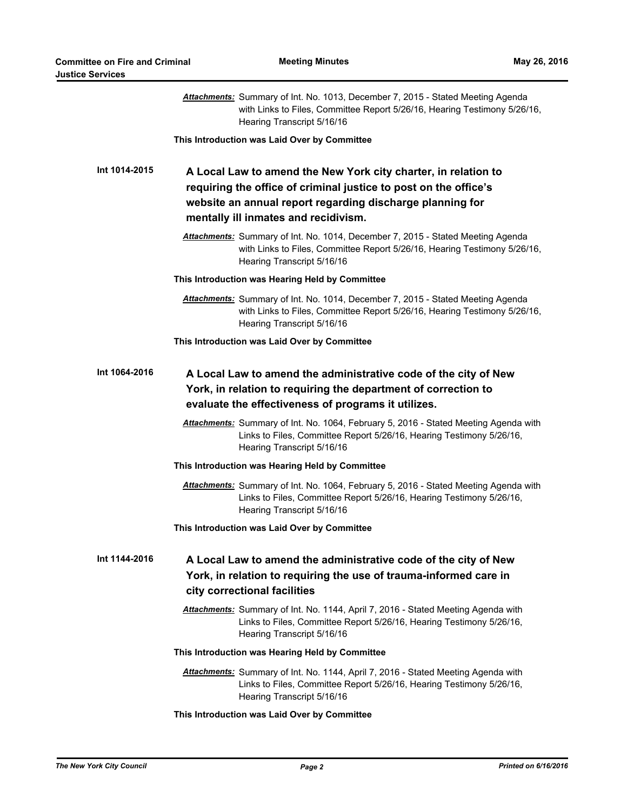|               | Attachments: Summary of Int. No. 1013, December 7, 2015 - Stated Meeting Agenda<br>with Links to Files, Committee Report 5/26/16, Hearing Testimony 5/26/16,<br>Hearing Transcript 5/16/16                                              |
|---------------|-----------------------------------------------------------------------------------------------------------------------------------------------------------------------------------------------------------------------------------------|
|               | This Introduction was Laid Over by Committee                                                                                                                                                                                            |
| Int 1014-2015 | A Local Law to amend the New York city charter, in relation to<br>requiring the office of criminal justice to post on the office's<br>website an annual report regarding discharge planning for<br>mentally ill inmates and recidivism. |
|               | Attachments: Summary of Int. No. 1014, December 7, 2015 - Stated Meeting Agenda<br>with Links to Files, Committee Report 5/26/16, Hearing Testimony 5/26/16,<br>Hearing Transcript 5/16/16                                              |
|               | This Introduction was Hearing Held by Committee                                                                                                                                                                                         |
|               | Attachments: Summary of Int. No. 1014, December 7, 2015 - Stated Meeting Agenda<br>with Links to Files, Committee Report 5/26/16, Hearing Testimony 5/26/16,<br>Hearing Transcript 5/16/16                                              |
|               | This Introduction was Laid Over by Committee                                                                                                                                                                                            |
| Int 1064-2016 | A Local Law to amend the administrative code of the city of New<br>York, in relation to requiring the department of correction to<br>evaluate the effectiveness of programs it utilizes.                                                |
|               | Attachments: Summary of Int. No. 1064, February 5, 2016 - Stated Meeting Agenda with<br>Links to Files, Committee Report 5/26/16, Hearing Testimony 5/26/16,<br>Hearing Transcript 5/16/16                                              |
|               | This Introduction was Hearing Held by Committee                                                                                                                                                                                         |
|               | Attachments: Summary of Int. No. 1064, February 5, 2016 - Stated Meeting Agenda with<br>Links to Files, Committee Report 5/26/16, Hearing Testimony 5/26/16,<br>Hearing Transcript 5/16/16                                              |
|               | This Introduction was Laid Over by Committee                                                                                                                                                                                            |
| Int 1144-2016 | A Local Law to amend the administrative code of the city of New<br>York, in relation to requiring the use of trauma-informed care in<br>city correctional facilities                                                                    |
|               | Attachments: Summary of Int. No. 1144, April 7, 2016 - Stated Meeting Agenda with<br>Links to Files, Committee Report 5/26/16, Hearing Testimony 5/26/16,<br>Hearing Transcript 5/16/16                                                 |
|               | This Introduction was Hearing Held by Committee                                                                                                                                                                                         |
|               | Attachments: Summary of Int. No. 1144, April 7, 2016 - Stated Meeting Agenda with<br>Links to Files, Committee Report 5/26/16, Hearing Testimony 5/26/16,<br>Hearing Transcript 5/16/16                                                 |
|               |                                                                                                                                                                                                                                         |

## **This Introduction was Laid Over by Committee**